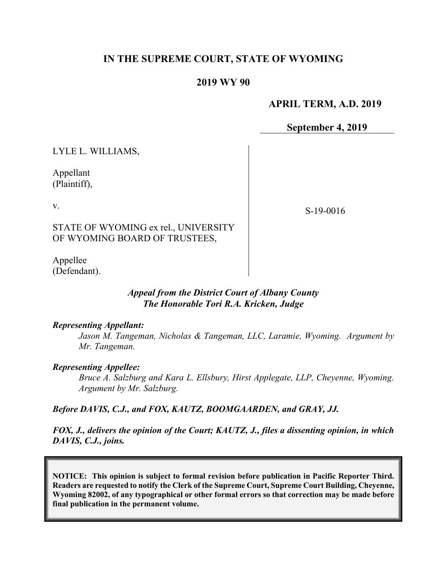# **IN THE SUPREME COURT, STATE OF WYOMING**

## **2019 WY 90**

## **APRIL TERM, A.D. 2019**

**September 4, 2019**

LYLE L. WILLIAMS,

Appellant (Plaintiff),

v.

S-19-0016

STATE OF WYOMING ex rel., UNIVERSITY OF WYOMING BOARD OF TRUSTEES,

Appellee (Defendant).

### *Appeal from the District Court of Albany County The Honorable Tori R.A. Kricken, Judge*

#### *Representing Appellant:*

*Jason M. Tangeman, Nicholas & Tangeman, LLC, Laramie, Wyoming. Argument by Mr. Tangeman.*

#### *Representing Appellee:*

*Bruce A. Salzburg and Kara L. Ellsbury, Hirst Applegate, LLP, Cheyenne, Wyoming. Argument by Mr. Salzburg.*

*Before DAVIS, C.J., and FOX, KAUTZ, BOOMGAARDEN, and GRAY, JJ.*

*FOX, J., delivers the opinion of the Court; KAUTZ, J., files a dissenting opinion, in which DAVIS, C.J., joins.*

**NOTICE: This opinion is subject to formal revision before publication in Pacific Reporter Third. Readers are requested to notify the Clerk of the Supreme Court, Supreme Court Building, Cheyenne, Wyoming 82002, of any typographical or other formal errors so that correction may be made before final publication in the permanent volume.**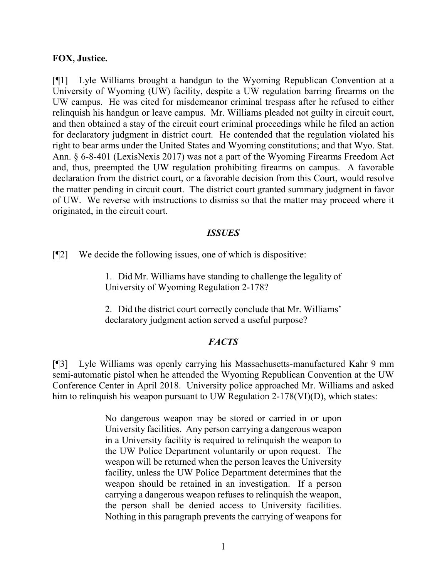#### **FOX, Justice.**

[¶1] Lyle Williams brought a handgun to the Wyoming Republican Convention at a University of Wyoming (UW) facility, despite a UW regulation barring firearms on the UW campus. He was cited for misdemeanor criminal trespass after he refused to either relinquish his handgun or leave campus. Mr. Williams pleaded not guilty in circuit court, and then obtained a stay of the circuit court criminal proceedings while he filed an action for declaratory judgment in district court. He contended that the regulation violated his right to bear arms under the United States and Wyoming constitutions; and that Wyo. Stat. Ann. § 6-8-401 (LexisNexis 2017) was not a part of the Wyoming Firearms Freedom Act and, thus, preempted the UW regulation prohibiting firearms on campus. A favorable declaration from the district court, or a favorable decision from this Court, would resolve the matter pending in circuit court. The district court granted summary judgment in favor of UW. We reverse with instructions to dismiss so that the matter may proceed where it originated, in the circuit court.

#### *ISSUES*

[¶2] We decide the following issues, one of which is dispositive:

1. Did Mr. Williams have standing to challenge the legality of University of Wyoming Regulation 2-178?

2. Did the district court correctly conclude that Mr. Williams' declaratory judgment action served a useful purpose?

### *FACTS*

[¶3] Lyle Williams was openly carrying his Massachusetts-manufactured Kahr 9 mm semi-automatic pistol when he attended the Wyoming Republican Convention at the UW Conference Center in April 2018. University police approached Mr. Williams and asked him to relinquish his weapon pursuant to UW Regulation 2-178(VI)(D), which states:

> No dangerous weapon may be stored or carried in or upon University facilities. Any person carrying a dangerous weapon in a University facility is required to relinquish the weapon to the UW Police Department voluntarily or upon request. The weapon will be returned when the person leaves the University facility, unless the UW Police Department determines that the weapon should be retained in an investigation. If a person carrying a dangerous weapon refuses to relinquish the weapon, the person shall be denied access to University facilities. Nothing in this paragraph prevents the carrying of weapons for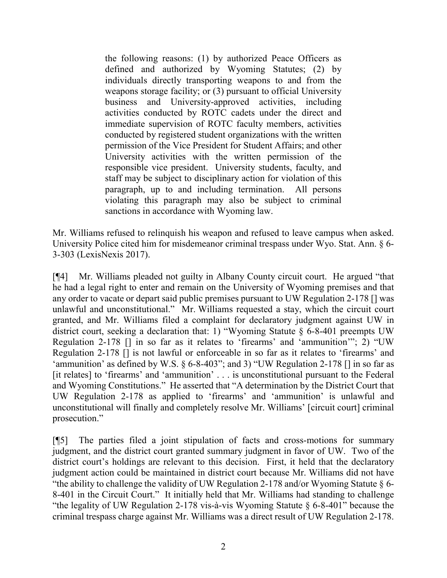the following reasons: (1) by authorized Peace Officers as defined and authorized by Wyoming Statutes; (2) by individuals directly transporting weapons to and from the weapons storage facility; or (3) pursuant to official University business and University-approved activities, including activities conducted by ROTC cadets under the direct and immediate supervision of ROTC faculty members, activities conducted by registered student organizations with the written permission of the Vice President for Student Affairs; and other University activities with the written permission of the responsible vice president. University students, faculty, and staff may be subject to disciplinary action for violation of this paragraph, up to and including termination. All persons violating this paragraph may also be subject to criminal sanctions in accordance with Wyoming law.

Mr. Williams refused to relinquish his weapon and refused to leave campus when asked. University Police cited him for misdemeanor criminal trespass under Wyo. Stat. Ann. § 6-3-303 (LexisNexis 2017).

[¶4] Mr. Williams pleaded not guilty in Albany County circuit court. He argued "that he had a legal right to enter and remain on the University of Wyoming premises and that any order to vacate or depart said public premises pursuant to UW Regulation 2-178 [] was unlawful and unconstitutional." Mr. Williams requested a stay, which the circuit court granted, and Mr. Williams filed a complaint for declaratory judgment against UW in district court, seeking a declaration that: 1) "Wyoming Statute § 6-8-401 preempts UW Regulation 2-178 [] in so far as it relates to 'firearms' and 'ammunition'"; 2) "UW Regulation 2-178 [] is not lawful or enforceable in so far as it relates to 'firearms' and 'ammunition' as defined by W.S. § 6-8-403"; and 3) "UW Regulation 2-178 [] in so far as [it relates] to 'firearms' and 'ammunition' . . . is unconstitutional pursuant to the Federal and Wyoming Constitutions." He asserted that "A determination by the District Court that UW Regulation 2-178 as applied to 'firearms' and 'ammunition' is unlawful and unconstitutional will finally and completely resolve Mr. Williams' [circuit court] criminal prosecution."

[¶5] The parties filed a joint stipulation of facts and cross-motions for summary judgment, and the district court granted summary judgment in favor of UW. Two of the district court's holdings are relevant to this decision. First, it held that the declaratory judgment action could be maintained in district court because Mr. Williams did not have "the ability to challenge the validity of UW Regulation 2-178 and/or Wyoming Statute  $\S$  6-8-401 in the Circuit Court." It initially held that Mr. Williams had standing to challenge "the legality of UW Regulation 2-178 vis-à-vis Wyoming Statute § 6-8-401" because the criminal trespass charge against Mr. Williams was a direct result of UW Regulation 2-178.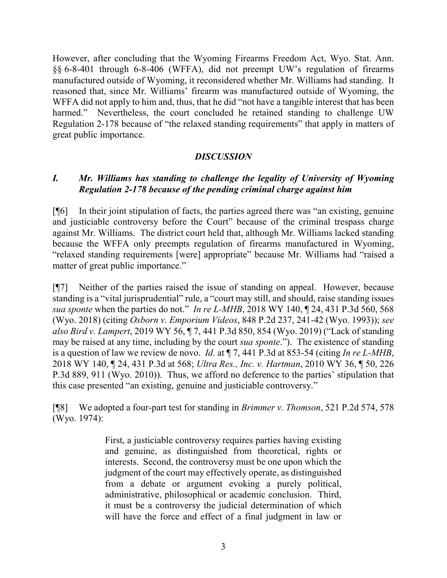However, after concluding that the Wyoming Firearms Freedom Act, Wyo. Stat. Ann. §§ 6-8-401 through 6-8-406 (WFFA), did not preempt UW's regulation of firearms manufactured outside of Wyoming, it reconsidered whether Mr. Williams had standing. It reasoned that, since Mr. Williams' firearm was manufactured outside of Wyoming, the WFFA did not apply to him and, thus, that he did "not have a tangible interest that has been harmed." Nevertheless, the court concluded he retained standing to challenge UW Regulation 2-178 because of "the relaxed standing requirements" that apply in matters of great public importance.

## *DISCUSSION*

## *I. Mr. Williams has standing to challenge the legality of University of Wyoming Regulation 2-178 because of the pending criminal charge against him*

[¶6] In their joint stipulation of facts, the parties agreed there was "an existing, genuine and justiciable controversy before the Court" because of the criminal trespass charge against Mr. Williams. The district court held that, although Mr. Williams lacked standing because the WFFA only preempts regulation of firearms manufactured in Wyoming, "relaxed standing requirements [were] appropriate" because Mr. Williams had "raised a matter of great public importance."

[¶7] Neither of the parties raised the issue of standing on appeal. However, because standing is a "vital jurisprudential" rule, a "court may still, and should, raise standing issues *sua sponte* when the parties do not." *In re L-MHB*, 2018 WY 140, ¶ 24, 431 P.3d 560, 568 (Wyo. 2018) (citing *Osborn v. Emporium Videos*, 848 P.2d 237, 241-42 (Wyo. 1993)); *see also Bird v. Lampert*, 2019 WY 56, ¶ 7, 441 P.3d 850, 854 (Wyo. 2019) ("Lack of standing may be raised at any time, including by the court *sua sponte*."). The existence of standing is a question of law we review de novo. *Id.* at ¶ 7, 441 P.3d at 853-54 (citing *In re L-MHB*, 2018 WY 140, ¶ 24, 431 P.3d at 568; *Ultra Res., Inc. v. Hartman*, 2010 WY 36, ¶ 50, 226 P.3d 889, 911 (Wyo. 2010)). Thus, we afford no deference to the parties' stipulation that this case presented "an existing, genuine and justiciable controversy."

[¶8] We adopted a four-part test for standing in *Brimmer v. Thomson*, 521 P.2d 574, 578 (Wyo. 1974):

> First, a justiciable controversy requires parties having existing and genuine, as distinguished from theoretical, rights or interests. Second, the controversy must be one upon which the judgment of the court may effectively operate, as distinguished from a debate or argument evoking a purely political, administrative, philosophical or academic conclusion. Third, it must be a controversy the judicial determination of which will have the force and effect of a final judgment in law or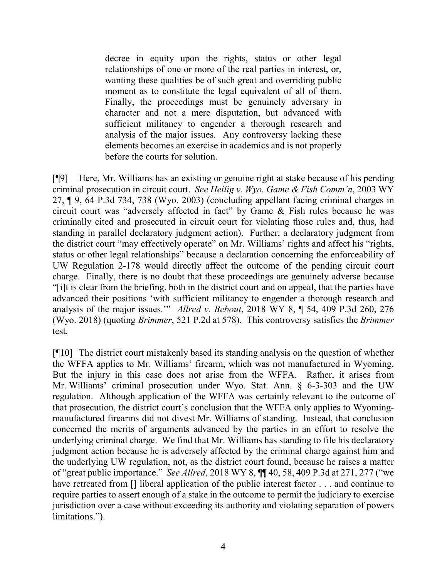decree in equity upon the rights, status or other legal relationships of one or more of the real parties in interest, or, wanting these qualities be of such great and overriding public moment as to constitute the legal equivalent of all of them. Finally, the proceedings must be genuinely adversary in character and not a mere disputation, but advanced with sufficient militancy to engender a thorough research and analysis of the major issues. Any controversy lacking these elements becomes an exercise in academics and is not properly before the courts for solution.

[¶9] Here, Mr. Williams has an existing or genuine right at stake because of his pending criminal prosecution in circuit court. *See Heilig v. Wyo. Game & Fish Comm'n*, 2003 WY 27, ¶ 9, 64 P.3d 734, 738 (Wyo. 2003) (concluding appellant facing criminal charges in circuit court was "adversely affected in fact" by Game & Fish rules because he was criminally cited and prosecuted in circuit court for violating those rules and, thus, had standing in parallel declaratory judgment action). Further, a declaratory judgment from the district court "may effectively operate" on Mr. Williams' rights and affect his "rights, status or other legal relationships" because a declaration concerning the enforceability of UW Regulation 2-178 would directly affect the outcome of the pending circuit court charge. Finally, there is no doubt that these proceedings are genuinely adverse because "[i]t is clear from the briefing, both in the district court and on appeal, that the parties have advanced their positions 'with sufficient militancy to engender a thorough research and analysis of the major issues.'" *Allred v. Bebout*, 2018 WY 8, ¶ 54, 409 P.3d 260, 276 (Wyo. 2018) (quoting *Brimmer*, 521 P.2d at 578). This controversy satisfies the *Brimmer*  test.

[¶10] The district court mistakenly based its standing analysis on the question of whether the WFFA applies to Mr. Williams' firearm, which was not manufactured in Wyoming. But the injury in this case does not arise from the WFFA. Rather, it arises from Mr. Williams' criminal prosecution under Wyo. Stat. Ann. § 6-3-303 and the UW regulation. Although application of the WFFA was certainly relevant to the outcome of that prosecution, the district court's conclusion that the WFFA only applies to Wyomingmanufactured firearms did not divest Mr. Williams of standing. Instead, that conclusion concerned the merits of arguments advanced by the parties in an effort to resolve the underlying criminal charge. We find that Mr. Williams has standing to file his declaratory judgment action because he is adversely affected by the criminal charge against him and the underlying UW regulation, not, as the district court found, because he raises a matter of "great public importance." *See Allred*, 2018 WY 8, ¶¶ 40, 58, 409 P.3d at 271, 277 ("we have retreated from [] liberal application of the public interest factor . . . and continue to require parties to assert enough of a stake in the outcome to permit the judiciary to exercise jurisdiction over a case without exceeding its authority and violating separation of powers limitations.").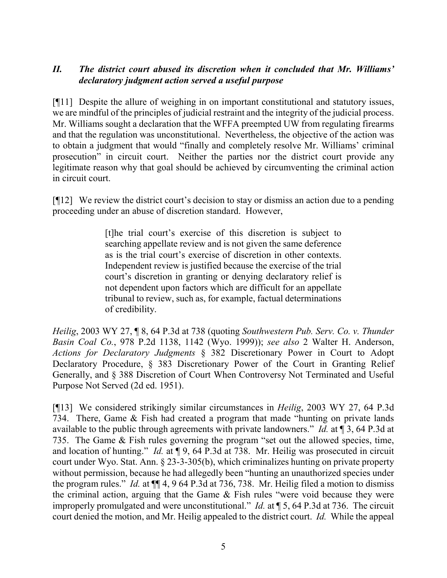# *II. The district court abused its discretion when it concluded that Mr. Williams' declaratory judgment action served a useful purpose*

[¶11] Despite the allure of weighing in on important constitutional and statutory issues, we are mindful of the principles of judicial restraint and the integrity of the judicial process. Mr. Williams sought a declaration that the WFFA preempted UW from regulating firearms and that the regulation was unconstitutional. Nevertheless, the objective of the action was to obtain a judgment that would "finally and completely resolve Mr. Williams' criminal prosecution" in circuit court. Neither the parties nor the district court provide any legitimate reason why that goal should be achieved by circumventing the criminal action in circuit court.

[¶12] We review the district court's decision to stay or dismiss an action due to a pending proceeding under an abuse of discretion standard. However,

> [t]he trial court's exercise of this discretion is subject to searching appellate review and is not given the same deference as is the trial court's exercise of discretion in other contexts. Independent review is justified because the exercise of the trial court's discretion in granting or denying declaratory relief is not dependent upon factors which are difficult for an appellate tribunal to review, such as, for example, factual determinations of credibility.

*Heilig*, 2003 WY 27, ¶ 8, 64 P.3d at 738 (quoting *Southwestern Pub. Serv. Co. v. Thunder Basin Coal Co.*, 978 P.2d 1138, 1142 (Wyo. 1999)); *see also* 2 Walter H. Anderson, *Actions for Declaratory Judgments* § 382 Discretionary Power in Court to Adopt Declaratory Procedure, § 383 Discretionary Power of the Court in Granting Relief Generally, and § 388 Discretion of Court When Controversy Not Terminated and Useful Purpose Not Served (2d ed. 1951).

[¶13] We considered strikingly similar circumstances in *Heilig*, 2003 WY 27, 64 P.3d 734. There, Game & Fish had created a program that made "hunting on private lands available to the public through agreements with private landowners." *Id.* at ¶ 3, 64 P.3d at 735. The Game & Fish rules governing the program "set out the allowed species, time, and location of hunting." *Id.* at ¶ 9, 64 P.3d at 738. Mr. Heilig was prosecuted in circuit court under Wyo. Stat. Ann. § 23-3-305(b), which criminalizes hunting on private property without permission, because he had allegedly been "hunting an unauthorized species under the program rules." *Id.* at ¶¶ 4, 9 64 P.3d at 736, 738. Mr. Heilig filed a motion to dismiss the criminal action, arguing that the Game & Fish rules "were void because they were improperly promulgated and were unconstitutional." *Id.* at ¶ 5, 64 P.3d at 736. The circuit court denied the motion, and Mr. Heilig appealed to the district court. *Id.* While the appeal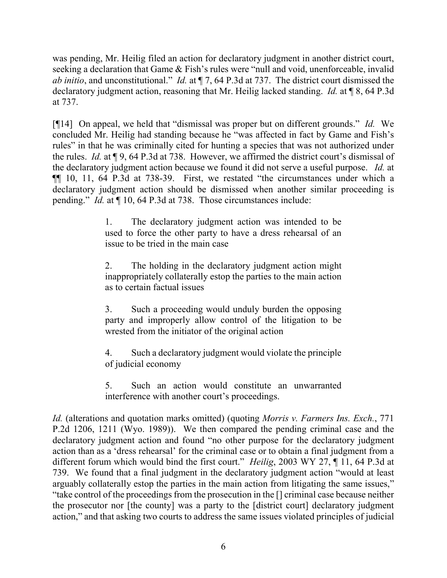was pending, Mr. Heilig filed an action for declaratory judgment in another district court, seeking a declaration that Game & Fish's rules were "null and void, unenforceable, invalid *ab initio*, and unconstitutional." *Id.* at ¶ 7, 64 P.3d at 737. The district court dismissed the declaratory judgment action, reasoning that Mr. Heilig lacked standing. *Id.* at ¶ 8, 64 P.3d at 737.

[¶14] On appeal, we held that "dismissal was proper but on different grounds." *Id.* We concluded Mr. Heilig had standing because he "was affected in fact by Game and Fish's rules" in that he was criminally cited for hunting a species that was not authorized under the rules. *Id.* at ¶ 9, 64 P.3d at 738. However, we affirmed the district court's dismissal of the declaratory judgment action because we found it did not serve a useful purpose. *Id.* at ¶¶ 10, 11, 64 P.3d at 738-39. First, we restated "the circumstances under which a declaratory judgment action should be dismissed when another similar proceeding is pending." *Id.* at ¶ 10, 64 P.3d at 738. Those circumstances include:

> 1. The declaratory judgment action was intended to be used to force the other party to have a dress rehearsal of an issue to be tried in the main case

> 2. The holding in the declaratory judgment action might inappropriately collaterally estop the parties to the main action as to certain factual issues

> 3. Such a proceeding would unduly burden the opposing party and improperly allow control of the litigation to be wrested from the initiator of the original action

> 4. Such a declaratory judgment would violate the principle of judicial economy

> 5. Such an action would constitute an unwarranted interference with another court's proceedings.

*Id.* (alterations and quotation marks omitted) (quoting *Morris v. Farmers Ins. Exch.*, 771 P.2d 1206, 1211 (Wyo. 1989)).We then compared the pending criminal case and the declaratory judgment action and found "no other purpose for the declaratory judgment action than as a 'dress rehearsal' for the criminal case or to obtain a final judgment from a different forum which would bind the first court." *Heilig*, 2003 WY 27, ¶ 11, 64 P.3d at 739. We found that a final judgment in the declaratory judgment action "would at least arguably collaterally estop the parties in the main action from litigating the same issues," "take control of the proceedings from the prosecution in the [] criminal case because neither the prosecutor nor [the county] was a party to the [district court] declaratory judgment action," and that asking two courts to address the same issues violated principles of judicial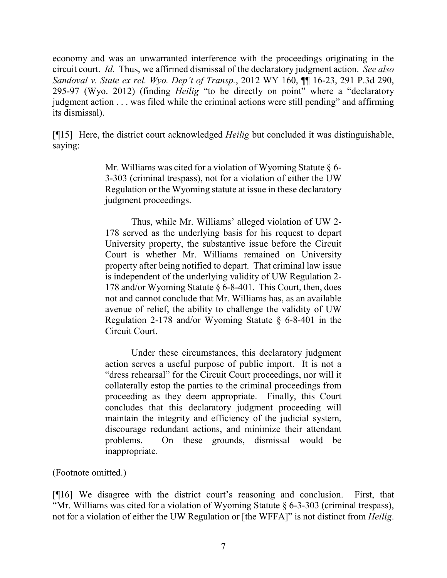economy and was an unwarranted interference with the proceedings originating in the circuit court. *Id.* Thus, we affirmed dismissal of the declaratory judgment action. *See also Sandoval v. State ex rel. Wyo. Dep't of Transp.*, 2012 WY 160, ¶¶ 16-23, 291 P.3d 290, 295-97 (Wyo. 2012) (finding *Heilig* "to be directly on point" where a "declaratory judgment action . . . was filed while the criminal actions were still pending" and affirming its dismissal).

[¶15] Here, the district court acknowledged *Heilig* but concluded it was distinguishable, saying:

> Mr. Williams was cited for a violation of Wyoming Statute  $\S$  6-3-303 (criminal trespass), not for a violation of either the UW Regulation or the Wyoming statute at issue in these declaratory judgment proceedings.

> Thus, while Mr. Williams' alleged violation of UW 2- 178 served as the underlying basis for his request to depart University property, the substantive issue before the Circuit Court is whether Mr. Williams remained on University property after being notified to depart. That criminal law issue is independent of the underlying validity of UW Regulation 2- 178 and/or Wyoming Statute § 6-8-401. This Court, then, does not and cannot conclude that Mr. Williams has, as an available avenue of relief, the ability to challenge the validity of UW Regulation 2-178 and/or Wyoming Statute § 6-8-401 in the Circuit Court.

> Under these circumstances, this declaratory judgment action serves a useful purpose of public import. It is not a "dress rehearsal" for the Circuit Court proceedings, nor will it collaterally estop the parties to the criminal proceedings from proceeding as they deem appropriate. Finally, this Court concludes that this declaratory judgment proceeding will maintain the integrity and efficiency of the judicial system, discourage redundant actions, and minimize their attendant problems. On these grounds, dismissal would be inappropriate.

(Footnote omitted.)

[¶16] We disagree with the district court's reasoning and conclusion. First, that "Mr. Williams was cited for a violation of Wyoming Statute § 6-3-303 (criminal trespass), not for a violation of either the UW Regulation or [the WFFA]" is not distinct from *Heilig*.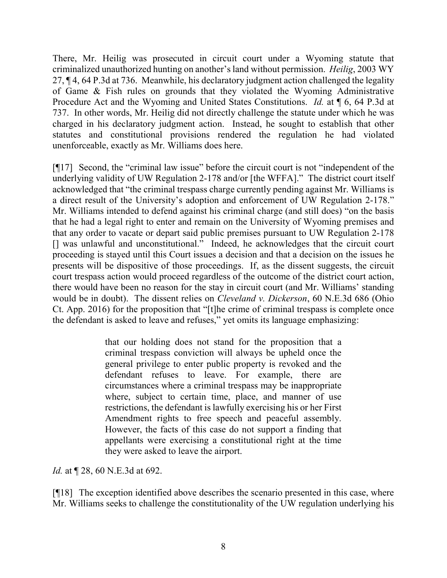There, Mr. Heilig was prosecuted in circuit court under a Wyoming statute that criminalized unauthorized hunting on another's land without permission. *Heilig*, 2003 WY 27, ¶ 4, 64 P.3d at 736. Meanwhile, his declaratory judgment action challenged the legality of Game & Fish rules on grounds that they violated the Wyoming Administrative Procedure Act and the Wyoming and United States Constitutions. *Id.* at ¶ 6, 64 P.3d at 737. In other words, Mr. Heilig did not directly challenge the statute under which he was charged in his declaratory judgment action. Instead, he sought to establish that other statutes and constitutional provisions rendered the regulation he had violated unenforceable, exactly as Mr. Williams does here.

[¶17] Second, the "criminal law issue" before the circuit court is not "independent of the underlying validity of UW Regulation 2-178 and/or [the WFFA]." The district court itself acknowledged that "the criminal trespass charge currently pending against Mr. Williams is a direct result of the University's adoption and enforcement of UW Regulation 2-178." Mr. Williams intended to defend against his criminal charge (and still does) "on the basis that he had a legal right to enter and remain on the University of Wyoming premises and that any order to vacate or depart said public premises pursuant to UW Regulation 2-178 [] was unlawful and unconstitutional." Indeed, he acknowledges that the circuit court proceeding is stayed until this Court issues a decision and that a decision on the issues he presents will be dispositive of those proceedings. If, as the dissent suggests, the circuit court trespass action would proceed regardless of the outcome of the district court action, there would have been no reason for the stay in circuit court (and Mr. Williams' standing would be in doubt). The dissent relies on *Cleveland v. Dickerson*, 60 N.E.3d 686 (Ohio Ct. App. 2016) for the proposition that "[t]he crime of criminal trespass is complete once the defendant is asked to leave and refuses," yet omits its language emphasizing:

> that our holding does not stand for the proposition that a criminal trespass conviction will always be upheld once the general privilege to enter public property is revoked and the defendant refuses to leave. For example, there are circumstances where a criminal trespass may be inappropriate where, subject to certain time, place, and manner of use restrictions, the defendant is lawfully exercising his or her First Amendment rights to free speech and peaceful assembly. However, the facts of this case do not support a finding that appellants were exercising a constitutional right at the time they were asked to leave the airport.

*Id.* at  $\P$  28, 60 N.E.3d at 692.

[¶18] The exception identified above describes the scenario presented in this case, where Mr. Williams seeks to challenge the constitutionality of the UW regulation underlying his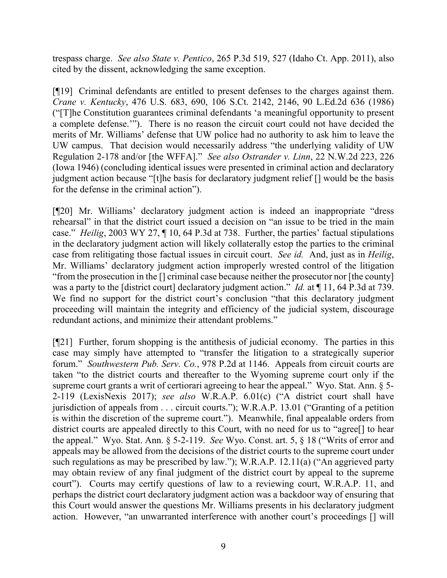trespass charge. *See also State v. Pentico*, 265 P.3d 519, 527 (Idaho Ct. App. 2011), also cited by the dissent, acknowledging the same exception.

[¶19] Criminal defendants are entitled to present defenses to the charges against them. *Crane v. Kentucky*, 476 U.S. 683, 690, 106 S.Ct. 2142, 2146, 90 L.Ed.2d 636 (1986) ("[T]he Constitution guarantees criminal defendants 'a meaningful opportunity to present a complete defense.'"). There is no reason the circuit court could not have decided the merits of Mr. Williams' defense that UW police had no authority to ask him to leave the UW campus. That decision would necessarily address "the underlying validity of UW Regulation 2-178 and/or [the WFFA]." *See also Ostrander v. Linn*, 22 N.W.2d 223, 226 (Iowa 1946) (concluding identical issues were presented in criminal action and declaratory judgment action because "[t]he basis for declaratory judgment relief [] would be the basis for the defense in the criminal action").

[¶20] Mr. Williams' declaratory judgment action is indeed an inappropriate "dress rehearsal" in that the district court issued a decision on "an issue to be tried in the main case." *Heilig*, 2003 WY 27, ¶ 10, 64 P.3d at 738. Further, the parties' factual stipulations in the declaratory judgment action will likely collaterally estop the parties to the criminal case from relitigating those factual issues in circuit court. *See id.* And, just as in *Heilig*, Mr. Williams' declaratory judgment action improperly wrested control of the litigation "from the prosecution in the [] criminal case because neither the prosecutor nor [the county] was a party to the [district court] declaratory judgment action." *Id.* at ¶ 11, 64 P.3d at 739. We find no support for the district court's conclusion "that this declaratory judgment" proceeding will maintain the integrity and efficiency of the judicial system, discourage redundant actions, and minimize their attendant problems."

[¶21] Further, forum shopping is the antithesis of judicial economy. The parties in this case may simply have attempted to "transfer the litigation to a strategically superior forum." *Southwestern Pub. Serv. Co.*, 978 P.2d at 1146. Appeals from circuit courts are taken "to the district courts and thereafter to the Wyoming supreme court only if the supreme court grants a writ of certiorari agreeing to hear the appeal." Wyo. Stat. Ann. § 5-2-119 (LexisNexis 2017); *see also* W.R.A.P. 6.01(c) ("A district court shall have jurisdiction of appeals from . . . circuit courts."); W.R.A.P. 13.01 ("Granting of a petition is within the discretion of the supreme court."). Meanwhile, final appealable orders from district courts are appealed directly to this Court, with no need for us to "agree[] to hear the appeal." Wyo. Stat. Ann. § 5-2-119. *See* Wyo. Const. art. 5, § 18 ("Writs of error and appeals may be allowed from the decisions of the district courts to the supreme court under such regulations as may be prescribed by law."); W.R.A.P. 12.11(a) ("An aggrieved party may obtain review of any final judgment of the district court by appeal to the supreme court"). Courts may certify questions of law to a reviewing court, W.R.A.P. 11, and perhaps the district court declaratory judgment action was a backdoor way of ensuring that this Court would answer the questions Mr. Williams presents in his declaratory judgment action. However, "an unwarranted interference with another court's proceedings [] will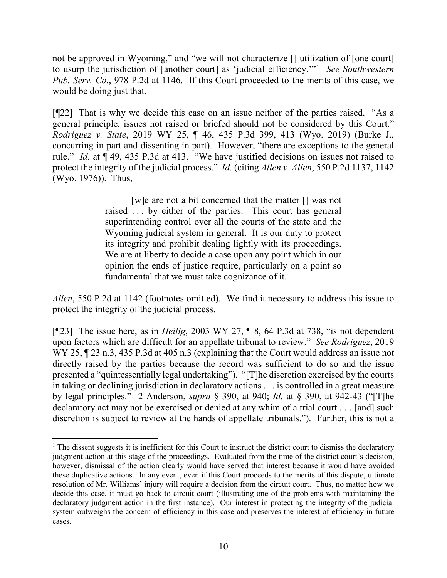not be approved in Wyoming," and "we will not characterize [] utilization of [one court] to usurp the jurisdiction of [another court] as 'judicial efficiency.'"[1](#page-10-0) *See Southwestern Pub. Serv. Co.*, 978 P.2d at 1146. If this Court proceeded to the merits of this case, we would be doing just that.

[¶22] That is why we decide this case on an issue neither of the parties raised. "As a general principle, issues not raised or briefed should not be considered by this Court." *Rodriguez v. State*, 2019 WY 25, ¶ 46, 435 P.3d 399, 413 (Wyo. 2019) (Burke J., concurring in part and dissenting in part). However, "there are exceptions to the general rule." *Id.* at ¶ 49, 435 P.3d at 413."We have justified decisions on issues not raised to protect the integrity of the judicial process." *Id.* (citing *Allen v. Allen*, 550 P.2d 1137, 1142 (Wyo. 1976)). Thus,

> [w]e are not a bit concerned that the matter [] was not raised . . . by either of the parties. This court has general superintending control over all the courts of the state and the Wyoming judicial system in general. It is our duty to protect its integrity and prohibit dealing lightly with its proceedings. We are at liberty to decide a case upon any point which in our opinion the ends of justice require, particularly on a point so fundamental that we must take cognizance of it.

*Allen*, 550 P.2d at 1142 (footnotes omitted). We find it necessary to address this issue to protect the integrity of the judicial process.

[¶23] The issue here, as in *Heilig*, 2003 WY 27, ¶ 8, 64 P.3d at 738, "is not dependent upon factors which are difficult for an appellate tribunal to review." *See Rodriguez*, 2019 WY 25,  $\P$  23 n.3, 435 P.3d at 405 n.3 (explaining that the Court would address an issue not directly raised by the parties because the record was sufficient to do so and the issue presented a "quintessentially legal undertaking"). "[T]he discretion exercised by the courts in taking or declining jurisdiction in declaratory actions . . . is controlled in a great measure by legal principles." 2 Anderson, *supra* § 390, at 940; *Id.* at § 390, at 942-43 ("[T]he declaratory act may not be exercised or denied at any whim of a trial court . . . [and] such discretion is subject to review at the hands of appellate tribunals."). Further, this is not a

<span id="page-10-0"></span><sup>&</sup>lt;sup>1</sup> The dissent suggests it is inefficient for this Court to instruct the district court to dismiss the declaratory judgment action at this stage of the proceedings. Evaluated from the time of the district court's decision, however, dismissal of the action clearly would have served that interest because it would have avoided these duplicative actions. In any event, even if this Court proceeds to the merits of this dispute, ultimate resolution of Mr. Williams' injury will require a decision from the circuit court. Thus, no matter how we decide this case, it must go back to circuit court (illustrating one of the problems with maintaining the declaratory judgment action in the first instance). Our interest in protecting the integrity of the judicial system outweighs the concern of efficiency in this case and preserves the interest of efficiency in future cases.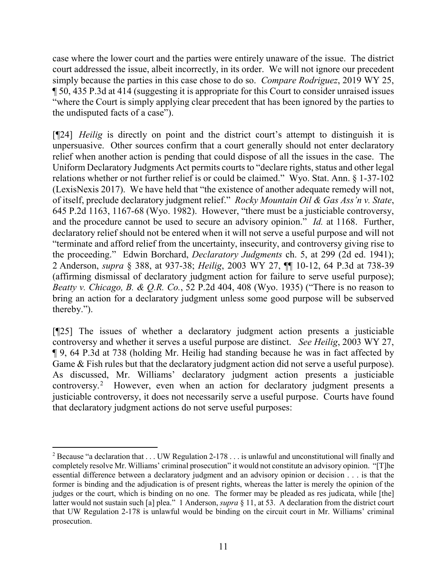case where the lower court and the parties were entirely unaware of the issue. The district court addressed the issue, albeit incorrectly, in its order. We will not ignore our precedent simply because the parties in this case chose to do so. *Compare Rodriguez*, 2019 WY 25,  $\P$  50, 435 P.3d at 414 (suggesting it is appropriate for this Court to consider unraised issues "where the Court is simply applying clear precedent that has been ignored by the parties to the undisputed facts of a case").

[¶24] *Heilig* is directly on point and the district court's attempt to distinguish it is unpersuasive. Other sources confirm that a court generally should not enter declaratory relief when another action is pending that could dispose of all the issues in the case. The Uniform Declaratory Judgments Act permits courts to "declare rights, status and other legal relations whether or not further relief is or could be claimed." Wyo. Stat. Ann. § 1-37-102 (LexisNexis 2017). We have held that "the existence of another adequate remedy will not, of itself, preclude declaratory judgment relief." *Rocky Mountain Oil & Gas Ass'n v. State*, 645 P.2d 1163, 1167-68 (Wyo. 1982). However, "there must be a justiciable controversy, and the procedure cannot be used to secure an advisory opinion." *Id.* at 1168. Further, declaratory relief should not be entered when it will not serve a useful purpose and will not "terminate and afford relief from the uncertainty, insecurity, and controversy giving rise to the proceeding." Edwin Borchard, *Declaratory Judgments* ch. 5, at 299 (2d ed. 1941); 2 Anderson, *supra* § 388, at 937-38; *Heilig*, 2003 WY 27, ¶¶ 10-12, 64 P.3d at 738-39 (affirming dismissal of declaratory judgment action for failure to serve useful purpose); *Beatty v. Chicago, B. & Q.R. Co.*, 52 P.2d 404, 408 (Wyo. 1935) ("There is no reason to bring an action for a declaratory judgment unless some good purpose will be subserved thereby.").

[¶25] The issues of whether a declaratory judgment action presents a justiciable controversy and whether it serves a useful purpose are distinct. *See Heilig*, 2003 WY 27, ¶ 9, 64 P.3d at 738 (holding Mr. Heilig had standing because he was in fact affected by Game & Fish rules but that the declaratory judgment action did not serve a useful purpose). As discussed, Mr. Williams' declaratory judgment action presents a justiciable controversy.<sup>[2](#page-11-0)</sup> However, even when an action for declaratory judgment presents a justiciable controversy, it does not necessarily serve a useful purpose. Courts have found that declaratory judgment actions do not serve useful purposes:

<span id="page-11-0"></span><sup>&</sup>lt;sup>2</sup> Because "a declaration that  $\dots$  UW Regulation 2-178  $\dots$  is unlawful and unconstitutional will finally and completely resolve Mr. Williams' criminal prosecution" it would not constitute an advisory opinion. "[T]he essential difference between a declaratory judgment and an advisory opinion or decision . . . is that the former is binding and the adjudication is of present rights, whereas the latter is merely the opinion of the judges or the court, which is binding on no one. The former may be pleaded as res judicata, while [the] latter would not sustain such [a] plea." 1 Anderson, *supra* § 11, at 53. A declaration from the district court that UW Regulation 2-178 is unlawful would be binding on the circuit court in Mr. Williams' criminal prosecution.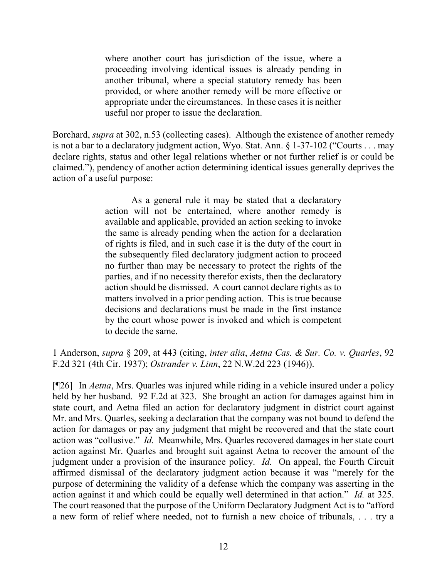where another court has jurisdiction of the issue, where a proceeding involving identical issues is already pending in another tribunal, where a special statutory remedy has been provided, or where another remedy will be more effective or appropriate under the circumstances. In these cases it is neither useful nor proper to issue the declaration.

Borchard, *supra* at 302, n.53 (collecting cases). Although the existence of another remedy is not a bar to a declaratory judgment action, Wyo. Stat. Ann. § 1-37-102 ("Courts . . . may declare rights, status and other legal relations whether or not further relief is or could be claimed."), pendency of another action determining identical issues generally deprives the action of a useful purpose:

> As a general rule it may be stated that a declaratory action will not be entertained, where another remedy is available and applicable, provided an action seeking to invoke the same is already pending when the action for a declaration of rights is filed, and in such case it is the duty of the court in the subsequently filed declaratory judgment action to proceed no further than may be necessary to protect the rights of the parties, and if no necessity therefor exists, then the declaratory action should be dismissed. A court cannot declare rights as to matters involved in a prior pending action. This is true because decisions and declarations must be made in the first instance by the court whose power is invoked and which is competent to decide the same.

1 Anderson, *supra* § 209, at 443 (citing, *inter alia*, *Aetna Cas. & Sur. Co. v. Quarles*, 92 F.2d 321 (4th Cir. 1937); *Ostrander v. Linn*, 22 N.W.2d 223 (1946)).

[¶26] In *Aetna*, Mrs. Quarles was injured while riding in a vehicle insured under a policy held by her husband. 92 F.2d at 323. She brought an action for damages against him in state court, and Aetna filed an action for declaratory judgment in district court against Mr. and Mrs. Quarles, seeking a declaration that the company was not bound to defend the action for damages or pay any judgment that might be recovered and that the state court action was "collusive." *Id.* Meanwhile, Mrs. Quarles recovered damages in her state court action against Mr. Quarles and brought suit against Aetna to recover the amount of the judgment under a provision of the insurance policy. *Id.* On appeal, the Fourth Circuit affirmed dismissal of the declaratory judgment action because it was "merely for the purpose of determining the validity of a defense which the company was asserting in the action against it and which could be equally well determined in that action." *Id.* at 325. The court reasoned that the purpose of the Uniform Declaratory Judgment Act is to "afford a new form of relief where needed, not to furnish a new choice of tribunals, . . . try a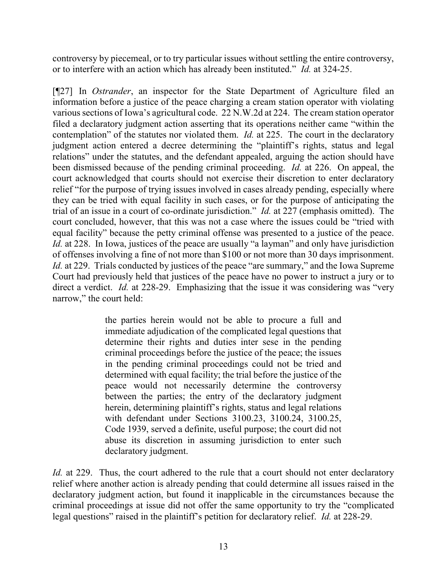controversy by piecemeal, or to try particular issues without settling the entire controversy, or to interfere with an action which has already been instituted." *Id.* at 324-25.

[¶27] In *Ostrander*, an inspector for the State Department of Agriculture filed an information before a justice of the peace charging a cream station operator with violating various sections of Iowa's agricultural code. 22 N.W.2d at 224. The cream station operator filed a declaratory judgment action asserting that its operations neither came "within the contemplation" of the statutes nor violated them. *Id.* at 225. The court in the declaratory judgment action entered a decree determining the "plaintiff's rights, status and legal relations" under the statutes, and the defendant appealed, arguing the action should have been dismissed because of the pending criminal proceeding. *Id.* at 226. On appeal, the court acknowledged that courts should not exercise their discretion to enter declaratory relief "for the purpose of trying issues involved in cases already pending, especially where they can be tried with equal facility in such cases, or for the purpose of anticipating the trial of an issue in a court of co-ordinate jurisdiction." *Id.* at 227 (emphasis omitted). The court concluded, however, that this was not a case where the issues could be "tried with equal facility" because the petty criminal offense was presented to a justice of the peace. *Id.* at 228. In Iowa, justices of the peace are usually "a layman" and only have jurisdiction of offenses involving a fine of not more than \$100 or not more than 30 days imprisonment. *Id.* at 229. Trials conducted by justices of the peace "are summary," and the Iowa Supreme Court had previously held that justices of the peace have no power to instruct a jury or to direct a verdict. *Id.* at 228-29. Emphasizing that the issue it was considering was "very narrow," the court held:

> the parties herein would not be able to procure a full and immediate adjudication of the complicated legal questions that determine their rights and duties inter sese in the pending criminal proceedings before the justice of the peace; the issues in the pending criminal proceedings could not be tried and determined with equal facility; the trial before the justice of the peace would not necessarily determine the controversy between the parties; the entry of the declaratory judgment herein, determining plaintiff's rights, status and legal relations with defendant under Sections 3100.23, 3100.24, 3100.25, Code 1939, served a definite, useful purpose; the court did not abuse its discretion in assuming jurisdiction to enter such declaratory judgment.

*Id.* at 229. Thus, the court adhered to the rule that a court should not enter declaratory relief where another action is already pending that could determine all issues raised in the declaratory judgment action, but found it inapplicable in the circumstances because the criminal proceedings at issue did not offer the same opportunity to try the "complicated legal questions" raised in the plaintiff's petition for declaratory relief. *Id.* at 228-29.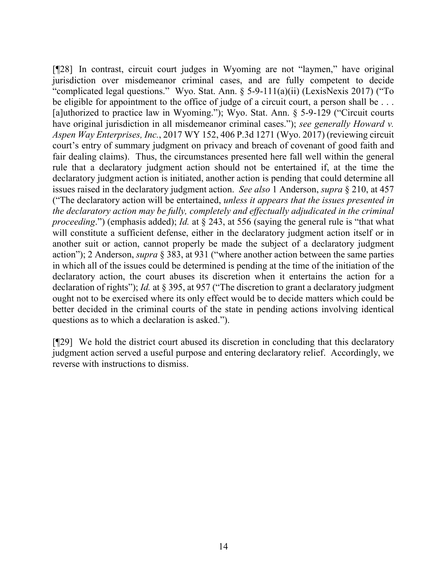[¶28] In contrast, circuit court judges in Wyoming are not "laymen," have original jurisdiction over misdemeanor criminal cases, and are fully competent to decide "complicated legal questions." Wyo. Stat. Ann. § 5-9-111(a)(ii) (LexisNexis 2017) ("To be eligible for appointment to the office of judge of a circuit court, a person shall be ... [a]uthorized to practice law in Wyoming."); Wyo. Stat. Ann. § 5-9-129 ("Circuit courts have original jurisdiction in all misdemeanor criminal cases."); *see generally Howard v. Aspen Way Enterprises, Inc.*, 2017 WY 152, 406 P.3d 1271 (Wyo. 2017) (reviewing circuit court's entry of summary judgment on privacy and breach of covenant of good faith and fair dealing claims). Thus, the circumstances presented here fall well within the general rule that a declaratory judgment action should not be entertained if, at the time the declaratory judgment action is initiated, another action is pending that could determine all issues raised in the declaratory judgment action. *See also* 1 Anderson, *supra* § 210, at 457 ("The declaratory action will be entertained, *unless it appears that the issues presented in the declaratory action may be fully, completely and effectually adjudicated in the criminal proceeding*.") (emphasis added); *Id.* at § 243, at 556 (saying the general rule is "that what will constitute a sufficient defense, either in the declaratory judgment action itself or in another suit or action, cannot properly be made the subject of a declaratory judgment action"); 2 Anderson, *supra* § 383, at 931 ("where another action between the same parties in which all of the issues could be determined is pending at the time of the initiation of the declaratory action, the court abuses its discretion when it entertains the action for a declaration of rights"); *Id.* at § 395, at 957 ("The discretion to grant a declaratory judgment ought not to be exercised where its only effect would be to decide matters which could be better decided in the criminal courts of the state in pending actions involving identical questions as to which a declaration is asked.").

[¶29] We hold the district court abused its discretion in concluding that this declaratory judgment action served a useful purpose and entering declaratory relief. Accordingly, we reverse with instructions to dismiss.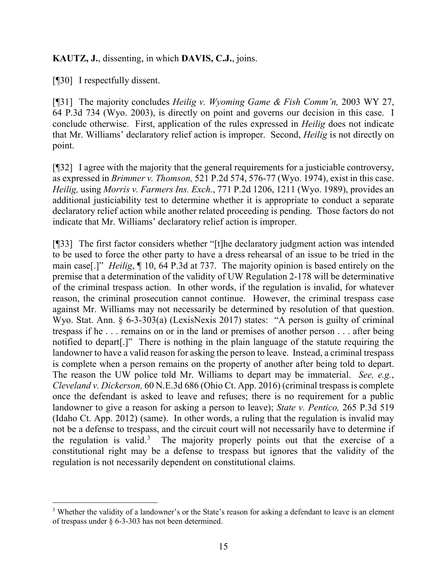## **KAUTZ, J.**, dissenting, in which **DAVIS, C.J.**, joins.

[¶30] I respectfully dissent.

[¶31] The majority concludes *Heilig v. Wyoming Game & Fish Comm'n,* 2003 WY 27, 64 P.3d 734 (Wyo. 2003), is directly on point and governs our decision in this case. I conclude otherwise. First, application of the rules expressed in *Heilig* does not indicate that Mr. Williams' declaratory relief action is improper. Second, *Heilig* is not directly on point.

[¶32] I agree with the majority that the general requirements for a justiciable controversy, as expressed in *Brimmer v. Thomson,* 521 P.2d 574, 576-77 (Wyo. 1974), exist in this case. *Heilig,* using *Morris v. Farmers Ins. Exch.*, 771 P.2d 1206, 1211 (Wyo. 1989), provides an additional justiciability test to determine whether it is appropriate to conduct a separate declaratory relief action while another related proceeding is pending. Those factors do not indicate that Mr. Williams' declaratory relief action is improper.

[¶33] The first factor considers whether "[t]he declaratory judgment action was intended to be used to force the other party to have a dress rehearsal of an issue to be tried in the main case[.]" *Heilig*, ¶ 10, 64 P.3d at 737. The majority opinion is based entirely on the premise that a determination of the validity of UW Regulation 2-178 will be determinative of the criminal trespass action. In other words, if the regulation is invalid, for whatever reason, the criminal prosecution cannot continue. However, the criminal trespass case against Mr. Williams may not necessarily be determined by resolution of that question. Wyo. Stat. Ann. § 6-3-303(a) (LexisNexis 2017) states: "A person is guilty of criminal trespass if he . . . remains on or in the land or premises of another person . . . after being notified to depart[.]" There is nothing in the plain language of the statute requiring the landowner to have a valid reason for asking the person to leave. Instead, a criminal trespass is complete when a person remains on the property of another after being told to depart. The reason the UW police told Mr. Williams to depart may be immaterial. *See, e.g.*, *Cleveland v. Dickerson,* 60 N.E.3d 686 (Ohio Ct. App. 2016) (criminal trespass is complete once the defendant is asked to leave and refuses; there is no requirement for a public landowner to give a reason for asking a person to leave); *State v. Pentico,* 265 P.3d 519 (Idaho Ct. App. 2012) (same). In other words, a ruling that the regulation is invalid may not be a defense to trespass, and the circuit court will not necessarily have to determine if the regulation is valid.<sup>[3](#page-15-0)</sup> The majority properly points out that the exercise of a constitutional right may be a defense to trespass but ignores that the validity of the regulation is not necessarily dependent on constitutional claims.

<span id="page-15-0"></span><sup>3</sup> Whether the validity of a landowner's or the State's reason for asking a defendant to leave is an element of trespass under § 6-3-303 has not been determined.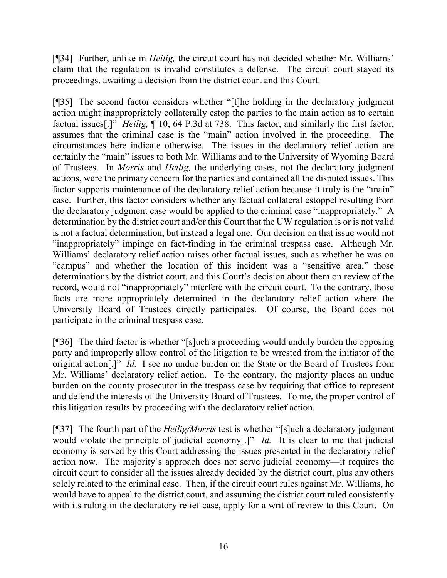[¶34] Further, unlike in *Heilig,* the circuit court has not decided whether Mr. Williams' claim that the regulation is invalid constitutes a defense. The circuit court stayed its proceedings, awaiting a decision from the district court and this Court.

[¶35] The second factor considers whether "[t]he holding in the declaratory judgment action might inappropriately collaterally estop the parties to the main action as to certain factual issues[.]" *Heilig,* ¶ 10, 64 P.3d at 738. This factor, and similarly the first factor, assumes that the criminal case is the "main" action involved in the proceeding. The circumstances here indicate otherwise. The issues in the declaratory relief action are certainly the "main" issues to both Mr. Williams and to the University of Wyoming Board of Trustees. In *Morris* and *Heilig,* the underlying cases, not the declaratory judgment actions, were the primary concern for the parties and contained all the disputed issues. This factor supports maintenance of the declaratory relief action because it truly is the "main" case. Further, this factor considers whether any factual collateral estoppel resulting from the declaratory judgment case would be applied to the criminal case "inappropriately." A determination by the district court and/or this Court that the UW regulation is or is not valid is not a factual determination, but instead a legal one. Our decision on that issue would not "inappropriately" impinge on fact-finding in the criminal trespass case. Although Mr. Williams' declaratory relief action raises other factual issues, such as whether he was on "campus" and whether the location of this incident was a "sensitive area," those determinations by the district court, and this Court's decision about them on review of the record, would not "inappropriately" interfere with the circuit court. To the contrary, those facts are more appropriately determined in the declaratory relief action where the University Board of Trustees directly participates. Of course, the Board does not participate in the criminal trespass case.

[¶36] The third factor is whether "[s]uch a proceeding would unduly burden the opposing party and improperly allow control of the litigation to be wrested from the initiator of the original action[.]" *Id.* I see no undue burden on the State or the Board of Trustees from Mr. Williams' declaratory relief action. To the contrary, the majority places an undue burden on the county prosecutor in the trespass case by requiring that office to represent and defend the interests of the University Board of Trustees. To me, the proper control of this litigation results by proceeding with the declaratory relief action.

[¶37] The fourth part of the *Heilig/Morris* test is whether "[s]uch a declaratory judgment would violate the principle of judicial economy<sup>[1]</sup> *Id.* It is clear to me that judicial economy is served by this Court addressing the issues presented in the declaratory relief action now. The majority's approach does not serve judicial economy—it requires the circuit court to consider all the issues already decided by the district court, plus any others solely related to the criminal case. Then, if the circuit court rules against Mr. Williams, he would have to appeal to the district court, and assuming the district court ruled consistently with its ruling in the declaratory relief case, apply for a writ of review to this Court. On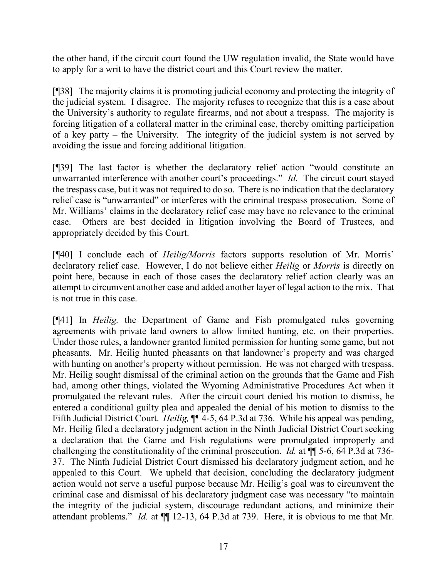the other hand, if the circuit court found the UW regulation invalid, the State would have to apply for a writ to have the district court and this Court review the matter.

[¶38] The majority claims it is promoting judicial economy and protecting the integrity of the judicial system. I disagree. The majority refuses to recognize that this is a case about the University's authority to regulate firearms, and not about a trespass. The majority is forcing litigation of a collateral matter in the criminal case, thereby omitting participation of a key party – the University. The integrity of the judicial system is not served by avoiding the issue and forcing additional litigation.

[¶39] The last factor is whether the declaratory relief action "would constitute an unwarranted interference with another court's proceedings." *Id.* The circuit court stayed the trespass case, but it was not required to do so. There is no indication that the declaratory relief case is "unwarranted" or interferes with the criminal trespass prosecution. Some of Mr. Williams' claims in the declaratory relief case may have no relevance to the criminal case. Others are best decided in litigation involving the Board of Trustees, and appropriately decided by this Court.

[¶40] I conclude each of *Heilig/Morris* factors supports resolution of Mr. Morris' declaratory relief case. However, I do not believe either *Heilig* or *Morris* is directly on point here, because in each of those cases the declaratory relief action clearly was an attempt to circumvent another case and added another layer of legal action to the mix. That is not true in this case.

[¶41] In *Heilig,* the Department of Game and Fish promulgated rules governing agreements with private land owners to allow limited hunting, etc. on their properties. Under those rules, a landowner granted limited permission for hunting some game, but not pheasants. Mr. Heilig hunted pheasants on that landowner's property and was charged with hunting on another's property without permission. He was not charged with trespass. Mr. Heilig sought dismissal of the criminal action on the grounds that the Game and Fish had, among other things, violated the Wyoming Administrative Procedures Act when it promulgated the relevant rules. After the circuit court denied his motion to dismiss, he entered a conditional guilty plea and appealed the denial of his motion to dismiss to the Fifth Judicial District Court. *Heilig,* ¶¶ 4-5, 64 P.3d at 736. While his appeal was pending, Mr. Heilig filed a declaratory judgment action in the Ninth Judicial District Court seeking a declaration that the Game and Fish regulations were promulgated improperly and challenging the constitutionality of the criminal prosecution. *Id.* at ¶¶ 5-6, 64 P.3d at 736- 37. The Ninth Judicial District Court dismissed his declaratory judgment action, and he appealed to this Court. We upheld that decision, concluding the declaratory judgment action would not serve a useful purpose because Mr. Heilig's goal was to circumvent the criminal case and dismissal of his declaratory judgment case was necessary "to maintain the integrity of the judicial system, discourage redundant actions, and minimize their attendant problems." *Id.* at  $\P$  12-13, 64 P.3d at 739. Here, it is obvious to me that Mr.